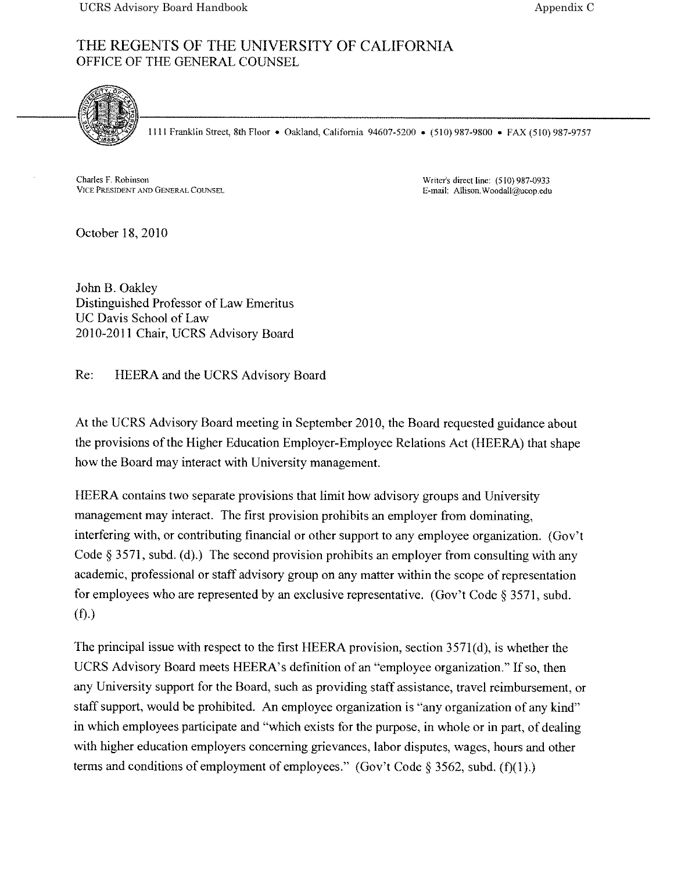## THE REGENTS OF THE UNIVERSITY OF CALIFORNIA OFFICE OF THE GENERAL COUNSEL



1111 Franklin Street, 8th Floor • Oakland, California 94607-5200 • (510) 987-9800 • FAX (510) 987-9757

Charles F. Robinson VICE PRESIDENT AND GENERAL COUNSEL Writer's direct line: (510) 987-0933 E-mail: Allison.Woodall@ucop.edu

October 18, 2010

John B. Oakley Distinguished Professor of Law Emeritus UC Davis School of Law 2010-2011 Chair. UCRS Advisory Board

Re: HEERA and the UCRS Advisory Board

At the UCRS Advisory Board meeting in September 2010, the Board requested guidance about the provisions of the Higher Education Employer-Employee Relations Act (HEERA) that shape how the Board may interact with University management.

HEERA contains two separate provisions that limit how advisory groups and University managemen<sup>t</sup> may interact. The first provision prohibits an employer from dominating, interfering with, or contributing financial or other suppor<sup>t</sup> to any employee organization. (Gov't Code § 3571, subd. (d).) The second provision prohibits an employer from consulting with any academic, professional or staff advisory group on any matter within the scope of representation for employees who are represented by an exclusive representative. (Gov't Code § 3571. subd.  $(f).$ 

The principal issue with respec<sup>t</sup> to the first HEERA provision, section 3571(d), is whether the UCRS Advisory Board meets HEERA's definition of an "employee organization." If so, then any University suppor<sup>t</sup> for the Board, such as providing staff assistance, travel reimbursement, or staff support, would be prohibited. An employee organization is "any organization of any kind" in which employees participate and "which exists for the purpose, in whole or in part, of dealing with higher education employers concerning grievances, labor disputes, wages, hours and other terms and conditions of employment of employees." (Gov't Code § 3562, subd. (f)(1).)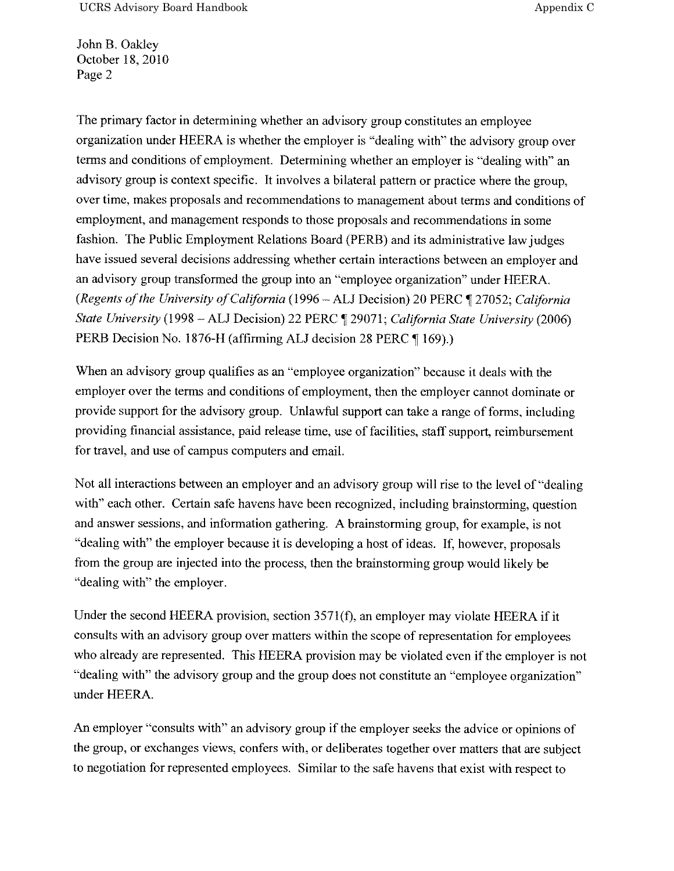UCRS Advisory Board Handbook Appendix C

John B. Oakley October 18, 2010 Page 2

The primary factor in determining whether an advisory group constitutes an employee organization under HEERA is whether the employer is "dealing with" the advisory group over terms and conditions of employment, Determining whether an employer is "dealing with" an advisory group is context specific. It involves <sup>a</sup> bilateral pattern or practice where the group, over time, makes proposals and recommendations to managemen<sup>t</sup> about terms and conditions of employment, and managemen<sup>t</sup> responds to those proposals and recommendations in some fashion. The Public Employment Relations Board (PERB) and its administrative law judges have issued several decisions addressing whether certain interactions between an employer and an advisory group transformed the group into an "employee organization" under HEERA. (Regents of the University of California (1996 – ALJ Decision) 20 PERC  $\P$  27052; California State University (1998 – ALJ Decision) 22 PERC ¶ 29071; California State University (2006) PERB Decision No. 1876-H (affirming ALJ decision 28 PERC ¶ 169).)

When an advisory group qualifies as an "employee organization" because it deals with the employer over the terms and conditions of employment, then the employer cannot dominate or provide suppor<sup>t</sup> for the advisory group. Unlawful suppor<sup>t</sup> can take <sup>a</sup> range of forms, including providing financial assistance, paid release time, use of facilities, staff support, reimbursement for travel, and use of campus computers and email.

Not all interactions between an employer and an advisory group will rise to the level of "dealing with" each other. Certain safe havens have been recognized, including brainstorming, question and answer sessions, and information gathering. <sup>A</sup> brainstorming group, for example, is not "dealing with" the employer because it is developing a host of ideas. If, however, proposals from the group are injected into the process, then the brainstorming group would likely be "dealing with" the employer.

Under the second HEERA provision, section 3571(f), an employer may violate HEERA if it consults with an advisory group over matters within the scope of representation for employees who already are represented. This HEERA provision may be violated even if the employer is not "dealing with" the advisory group and the group does not constitute an "employee organization" under HEERA.

An employer "consults with" an advisory group if the employer seeks the advice or opinions of the group, or exchanges views, confers with, or deliberates together over matters that are subject to negotiation for represented employees. Similar to the safe havens that exist with respec<sup>t</sup> to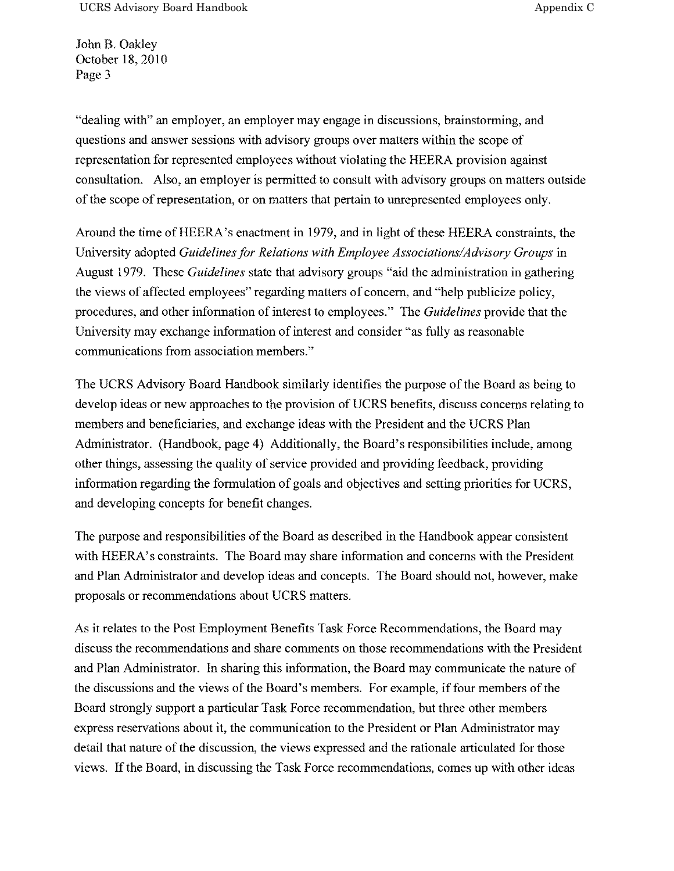John B. Oakley October 18, 2010 Page 3

"dealing with" an employer, an employer may engage in discussions, brainstorming, and questions and answer sessions with advisory groups over matters within the scope of representation for represented employees without violating the HEERA provision against consultation. Also, an employer is permitted to consult with advisory groups on matters outside of the scope of representation, or on matters that pertain to unrepresented employees only.

Around the time of HEERA's enactment in 1979, and in light of these HEERA constraints, the University adopted Guidelines for Relations with Employee Associations/Advisory Groups in August 1979. These Guidelines state that advisory groups "aid the administration in gathering the views of affected employees" regarding matters of concern, and "help publicize policy, procedures, and other information of interest to employees." The Guidelines provide that the University may exchange information of interest and consider "as fully as reasonable communications from association members."

The UCRS Advisory Board Handbook similarly identifies the purpose ofthe Board as being to develop ideas or new approaches to the provision of UCRS benefits, discuss concerns relating to members and beneficiaries, and exchange ideas with the President and the UCRS Plan Administrator. (Handbook, page 4) Additionally, the Board's responsibilities include, among other things, assessing the quality of service provided and providing feedback, providing information regarding the formulation of goals and objectives and setting priorities for UCRS, and developing concepts for benefit changes.

The purpose and responsibilities of the Board as described in the Handbook appear consistent with HEERA's constraints. The Board may share information and concerns with the President and Plan Administrator and develop ideas and concepts. The Board should not, however, make proposals or recommendations about UCRS matters.

As it relates to the Post Employment Benefits Task Force Recommendations, the Board may discuss the recommendations and share comments on those recommendations with the President and Plan Administrator. In sharing this information, the Board may communicate the nature of the discussions and the views of the Board's members. For example, if four members of the Board strongly suppor<sup>t</sup> <sup>a</sup> particular Task Force recommendation, but three other members express reservations about it, the communication to the President or Plan Administrator may detail that nature of the discussion, the views expressed and the rationale articulated for those views. Ifthe Board, in discussing the Task Force recommendations, comes up with other ideas